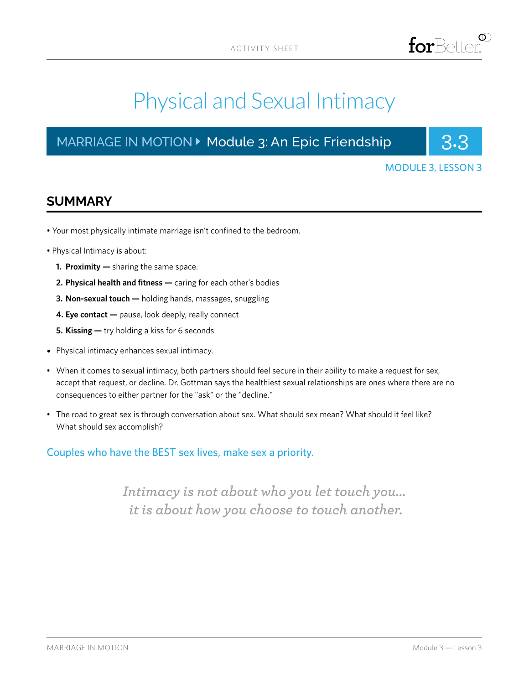

# Physical and Sexual Intimacy

## MARRIAGE IN MOTION ▶ Module 3: An Epic Friendship **3.3**



### MODULE 3, LESSON 3

## **SUMMARY**

- Your most physically intimate marriage isn't confined to the bedroom.
- Physical Intimacy is about:
	- **1. Proximity —** sharing the same space.
	- **2. Physical health and fitness —** caring for each other's bodies
	- **3. Non-sexual touch —** holding hands, massages, snuggling
	- **4. Eye contact** pause, look deeply, really connect
	- **5. Kissing —** try holding a kiss for 6 seconds
- Physical intimacy enhances sexual intimacy.
- When it comes to sexual intimacy, both partners should feel secure in their ability to make a request for sex, accept that request, or decline. Dr. Gottman says the healthiest sexual relationships are ones where there are no consequences to either partner for the "ask" or the "decline."
- The road to great sex is through conversation about sex. What should sex mean? What should it feel like? What should sex accomplish?

## Couples who have the BEST sex lives, make sex a priority.

*Intimacy is not about who you let touch you... it is about how you choose to touch another.*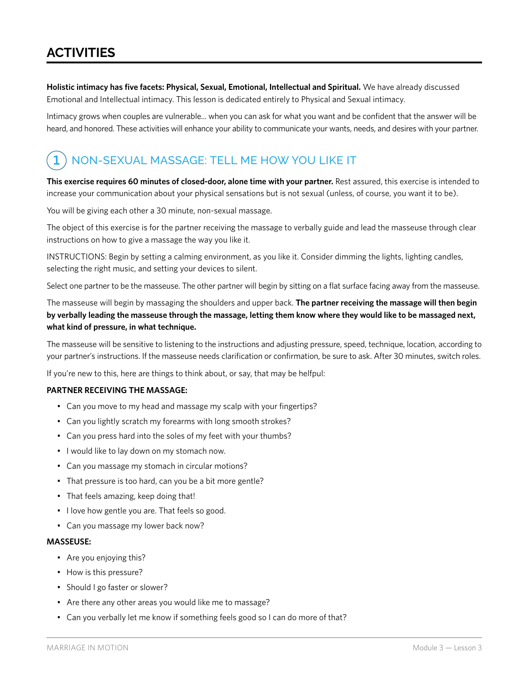**Holistic intimacy has five facets: Physical, Sexual, Emotional, Intellectual and Spiritual.** We have already discussed Emotional and Intellectual intimacy. This lesson is dedicated entirely to Physical and Sexual intimacy.

Intimacy grows when couples are vulnerable... when you can ask for what you want and be confident that the answer will be heard, and honored. These activities will enhance your ability to communicate your wants, needs, and desires with your partner.

#### NON-SEXUAL MASSAGE: TELL ME HOW YOU LIKE IT **1**

**This exercise requires 60 minutes of closed-door, alone time with your partner.** Rest assured, this exercise is intended to increase your communication about your physical sensations but is not sexual (unless, of course, you want it to be).

You will be giving each other a 30 minute, non-sexual massage.

The object of this exercise is for the partner receiving the massage to verbally guide and lead the masseuse through clear instructions on how to give a massage the way you like it.

INSTRUCTIONS: Begin by setting a calming environment, as you like it. Consider dimming the lights, lighting candles, selecting the right music, and setting your devices to silent.

Select one partner to be the masseuse. The other partner will begin by sitting on a flat surface facing away from the masseuse.

The masseuse will begin by massaging the shoulders and upper back. **The partner receiving the massage will then begin by verbally leading the masseuse through the massage, letting them know where they would like to be massaged next, what kind of pressure, in what technique.**

The masseuse will be sensitive to listening to the instructions and adjusting pressure, speed, technique, location, according to your partner's instructions. If the masseuse needs clarification or confirmation, be sure to ask. After 30 minutes, switch roles.

If you're new to this, here are things to think about, or say, that may be helfpul:

#### **PARTNER RECEIVING THE MASSAGE:**

- Can you move to my head and massage my scalp with your fingertips?
- Can you lightly scratch my forearms with long smooth strokes?
- Can you press hard into the soles of my feet with your thumbs?
- I would like to lay down on my stomach now.
- Can you massage my stomach in circular motions?
- That pressure is too hard, can you be a bit more gentle?
- That feels amazing, keep doing that!
- I love how gentle you are. That feels so good.
- Can you massage my lower back now?

#### **MASSEUSE:**

- Are you enjoying this?
- How is this pressure?
- Should I go faster or slower?
- Are there any other areas you would like me to massage?
- Can you verbally let me know if something feels good so I can do more of that?